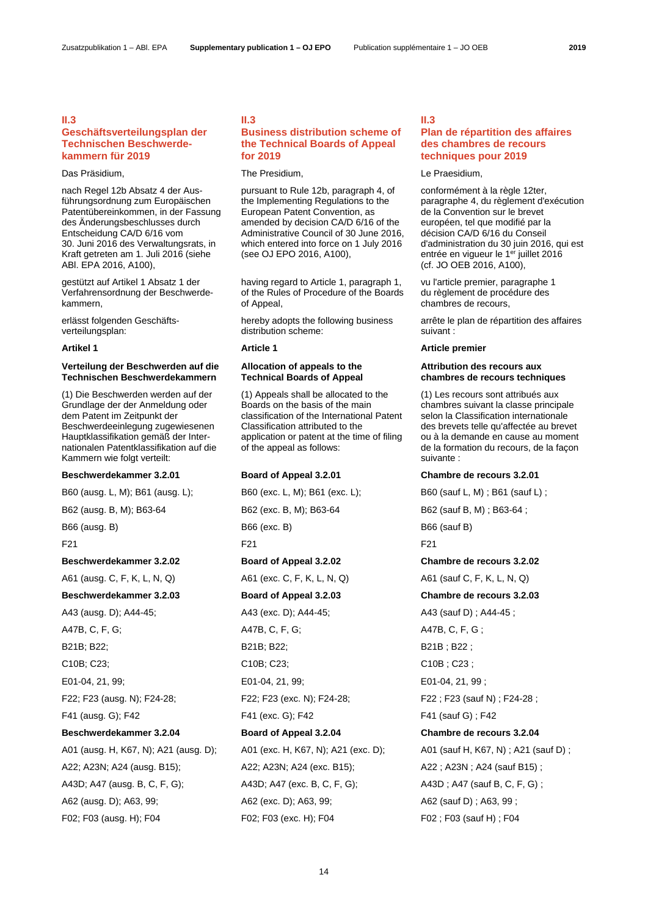# **II.3**

# **Geschäftsverteilungsplan der Technischen Beschwerdekammern für 2019**

nach Regel 12b Absatz 4 der Ausführungsordnung zum Europäischen Patentübereinkommen, in der Fassung des Änderungsbeschlusses durch Entscheidung CA/D 6/16 vom 30. Juni 2016 des Verwaltungsrats, in Kraft getreten am 1. Juli 2016 (siehe ABl. EPA 2016, A100),

gestützt auf Artikel 1 Absatz 1 der Verfahrensordnung der Beschwerdekammern,

erlässt folgenden Geschäftsverteilungsplan:

# **Verteilung der Beschwerden auf die Technischen Beschwerdekammern**

(1) Die Beschwerden werden auf der Grundlage der der Anmeldung oder dem Patent im Zeitpunkt der Beschwerdeeinlegung zugewiesenen Hauptklassifikation gemäß der Internationalen Patentklassifikation auf die Kammern wie folgt verteilt:

# **Beschwerdekammer 3.2.01 Board of Appeal 3.2.01 Chambre de recours 3.2.01**

A01 (ausg. H, K67, N); A21 (ausg. D); A01 (exc. H, K67, N); A21 (exc. D); A01 (sauf H, K67, N) ; A21 (sauf D) ; A22; A23N; A24 (ausg. B15); A22; A23N; A24 (exc. B15); A22 ; A23N ; A24 (sauf B15) ; A43D; A47 (ausg. B, C, F, G); A43D; A47 (exc. B, C, F, G); A43D; A43D; A47 (sauf B, C, F, G); A62 (ausg. D); A63, 99; A62 (exc. D); A63, 99; A62 (sauf D) ; A63, 99 ; F02; F03 (ausg. H); F04 F02; F03 (exc. H); F04 F02 ; F03 (sauf H) ; F04

# **II.3 Business distribution scheme of the Technical Boards of Appeal for 2019**

# Das Präsidium, The Presidium, The Presidium, The Presidium, The Praesidium,

 pursuant to Rule 12b, paragraph 4, of the Implementing Regulations to the European Patent Convention, as amended by decision CA/D 6/16 of the Administrative Council of 30 June 2016, which entered into force on 1 July 2016 (see OJ EPO 2016, A100),

 having regard to Article 1, paragraph 1, of the Rules of Procedure of the Boards of Appeal,

 hereby adopts the following business distribution scheme:

# **Allocation of appeals to the Technical Boards of Appeal**

 (1) Appeals shall be allocated to the Boards on the basis of the main classification of the International Patent Classification attributed to the application or patent at the time of filing of the appeal as follows:

B60 (ausg. L, M); B61 (ausg. L); B60 (exc. L, M); B61 (exc. L); B60 (sauf L, M) ; B61 (sauf L) ; B62 (ausg. B, M); B63-64 B62 (exc. B, M); B63-64 B62 (sauf B, M); B63-64; B66 (ausg. B) B66 (exc. B) B66 (exc. B) B66 (sauf B) F21 F21 F21 **Beschwerdekammer 3.2.02 Board of Appeal 3.2.02 Chambre de recours 3.2.02** A61 (ausg. C, F, K, L, N, Q) A61 (exc. C, F, K, L, N, Q) A61 (sauf C, F, K, L, N, Q) **Beschwerdekammer 3.2.03 Board of Appeal 3.2.03 Chambre de recours 3.2.03** A43 (ausg. D); A44-45; A43 (exc. D); A44-45; A43 (sauf D) ; A44-45 ; A47B, C, F, G; A47B, C, F, G; A47B, C, F, G; B21B; B22; B21B; B22; B21B; B22; B21B; B22; C10B; C23; C10B; C23; C10B; C23; C10B; C23; E01-04, 21, 99; E01-04, 21, 99; E01-04, 21, 99 ; F22; F23 (ausg. N); F24-28; F22; F23 (exc. N); F24-28; F22 ; F23 (sauf N) ; F24-28 ; F41 (ausg. G); F42 F41 (exc. G); F42 F41 (sauf G) ; F42 **Beschwerdekammer 3.2.04 Board of Appeal 3.2.04 Chambre de recours 3.2.04**

### **II.3**

# **Plan de répartition des affaires des chambres de recours techniques pour 2019**

 conformément à la règle 12ter, paragraphe 4, du règlement d'exécution de la Convention sur le brevet européen, tel que modifié par la décision CA/D 6/16 du Conseil d'administration du 30 juin 2016, qui est entrée en vigueur le 1<sup>er</sup> juillet 2016 (cf. JO OEB 2016, A100),

 vu l'article premier, paragraphe 1 du règlement de procédure des chambres de recours,

 arrête le plan de répartition des affaires suivant :

# **Artikel 1 Article 1 Article premier**

## **Attribution des recours aux chambres de recours techniques**

 (1) Les recours sont attribués aux chambres suivant la classe principale selon la Classification internationale des brevets telle qu'affectée au brevet ou à la demande en cause au moment de la formation du recours, de la façon suivante :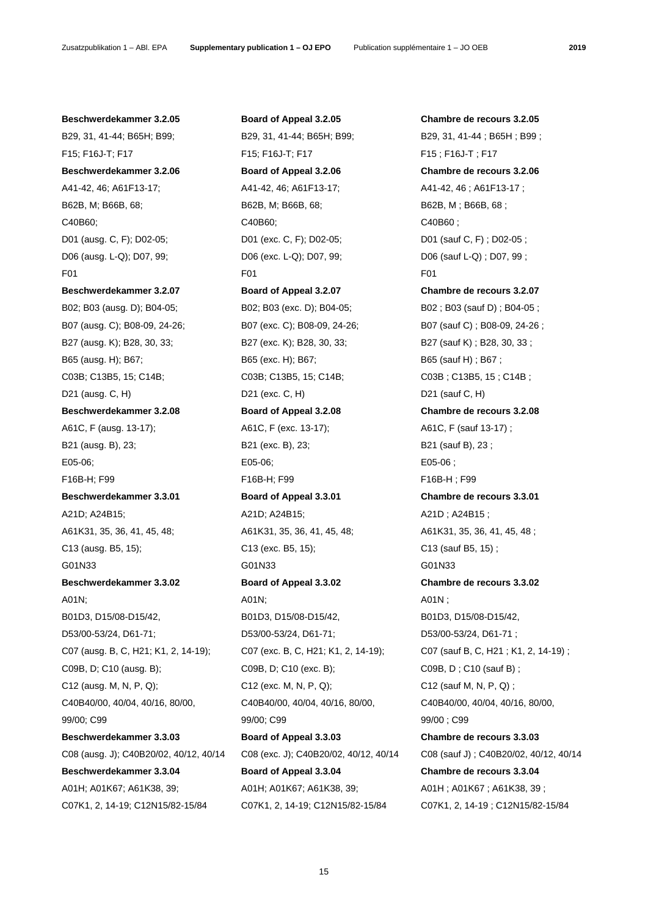B29, 31, 41-44; B65H; B99; B29, 31, 41-44; B65H; B99; B29, 31, 41-44; B65H; B99; F15; F16J-T; F17 F15; F16J-T; F17 F15 ; F16J-T ; F17 **Beschwerdekammer 3.2.06 Board of Appeal 3.2.06 Chambre de recours 3.2.06** A41-42, 46; A61F13-17; A41-42, 46; A61F13-17; A41-42, 46 ; A61F13-17 ; B62B, M; B66B, 68; B62B, M; B66B, 68; B62B, M; B66B, 68; B62B, M; B66B, 68; C40B60; C40B60; C40B60; D01 (ausg. C, F); D02-05; D01 (exc. C, F); D02-05; D01 (sauf C, F) ; D02-05 ; D06 (ausg. L-Q); D07, 99; D06 (exc. L-Q); D07, 99; D06 (sauf L-Q) ; D07, 99 ; F01 F01 F01 **Beschwerdekammer 3.2.07 Board of Appeal 3.2.07 Chambre de recours 3.2.07** B02; B03 (ausg. D); B04-05; B03; B02; B03 (exc. D); B04-05; B03 (sauf D); B04-05; B07 (ausg. C); B08-09, 24-26; B07 (exc. C); B08-09, 24-26; B07 (sauf C); B08-09, 24-26; B27 (ausg. K); B28, 30, 33; B27 (exc. K); B28, 30, 33; B27 (sauf K) ; B28, 30, 33; B65 (ausg. H); B67; B65; B65 (exc. H); B67; B65 (sauf H) ; B67 ; C03B; C13B5, 15; C14B; C03B; C13B5, 15; C14B; C03B; C13B5, 15; C14B; D21 (ausg. C, H) D21 (exc. C, H) D21 (ausg. C, H) **Beschwerdekammer 3.2.08 Board of Appeal 3.2.08 Chambre de recours 3.2.08** A61C, F (ausg. 13-17);  $A61C, F$  (exc. 13-17);  $A61C, F$  (sauf 13-17); B21 (ausg. B), 23; B21 (exc. B), 23; B21 (sauf B), 23; E05-06; E05-06; E05-06 ; F16B-H; F99 F16B-H; F99 F16B-H ; F99 **Beschwerdekammer 3.3.01 Board of Appeal 3.3.01 Chambre de recours 3.3.01** A21D; A24B15; A21D; A24B15; A21D ; A24B15 ; A61K31, 35, 36, 41, 45, 48; A61K31, 35, 36, 41, 45, 48; A61K31, 35, 36, 41, 45, 48; A61K31, 35, 36, 41, 45, 48 C13 (ausg. B5, 15); C13 (exc. B5, 15); C13 (sauf B5, 15); G01N33 G01N33 G01N33 **Beschwerdekammer 3.3.02 Board of Appeal 3.3.02 Chambre de recours 3.3.02** A01N; A01N; A01N; A01N; A01N; A01N ; A02N ; A03N ; A03N ; A03N ; A03N ; A03N ; A03N ; A03N ; A03N ; A03N ; A03N ; A03N ; A03N ; A03N ; A03N ; A03N ; A03N ; A03N ; A03N ; A03N ; A03N ; A03N ; A03N ; A03N ; A03N ; A03N ; A03 B01D3, D15/08-D15/42, B01D3, D15/08-D15/42, B01D3, D15/08-D15/42, D53/00-53/24, D61-71; D53/00-53/24, D61-71; D53/00-53/24, D61-71 ; C09B, D; C10 (ausg. B); C10 (exc. B); C10 (exc. B); C10 (exc. B); C09B, D; C10 (sauf B); C12 (ausg. M, N, P, Q); C12 (exc. M, N, P, Q); C12 (sauf M, N, P, Q) ; C40B40/00, 40/04, 40/16, 80/00, C40B40/00, 40/04, 40/16, 80/00, C40B40/00, 40/04, 40/16, 80/00, 99/00; C99 99/00; C99 99/00 ; C99 **Beschwerdekammer 3.3.03 Board of Appeal 3.3.03 Chambre de recours 3.3.03 Beschwerdekammer 3.3.04 Board of Appeal 3.3.04 Chambre de recours 3.3.04** A01H; A01K67; A61K38, 39; A01H; A01K67; A61K38, 39; A01H; A01K67; A61K38, 39; A01H ; A01K67 ; A61K38, 39 ; C07K1, 2, 14-19; C12N15/82-15/84 C07K1, 2, 14-19; C12N15/82-15/84 C07K1, 2, 14-19 ; C12N15/82-15/84

**Beschwerdekammer 3.2.05 Board of Appeal 3.2.05 Chambre de recours 3.2.05** C07 (ausg. B, C, H21; K1, 2, 14-19); C07 (exc. B, C, H21; K1, 2, 14-19); C07 (sauf B, C, H21 ; K1, 2, 14-19) ; C08 (ausg. J); C40B20/02, 40/12, 40/14 C08 (exc. J); C40B20/02, 40/12, 40/14 C08 (sauf J) ; C40B20/02, 40/12, 40/14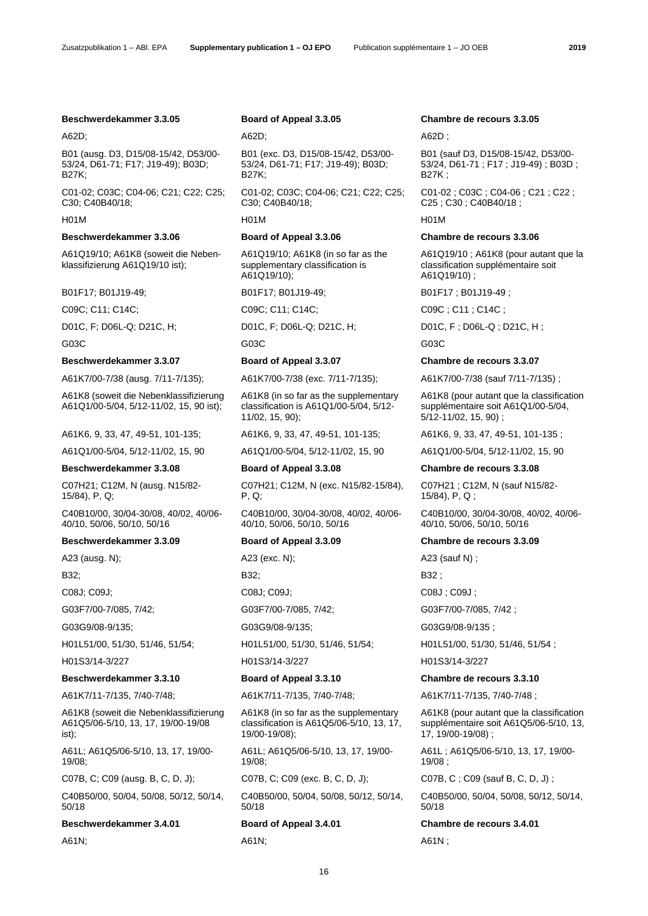Zusatzpublikation 1 – ABl. EPA **Supplementary publication 1 – OJ EPO** Publication supplémentaire 1 – JO OEB **2019** 

### **Beschwerdekammer 3.3.05 Board of Appeal 3.3.05 Chambre de recours 3.3.05**

B01 (ausg. D3, D15/08-15/42, D53/00- 53/24, D61-71; F17; J19-49); B03D; B27K;

C01-02; C03C; C04-06; C21; C22; C25; C30; C40B40/18;

A61Q19/10; A61K8 (soweit die Nebenklassifizierung A61Q19/10 ist);

B01F17; B01J19-49; B01F17; B01J19-49; B01F17; B01J19-49; B01F17; B01J19-49;

D01C, F; D06L-Q; D21C, H; D01C, F; D06L-Q; D21C, H; D01C, F ; D06L-Q ; D21C, H ;

A61K8 (soweit die Nebenklassifizierung A61Q1/00-5/04, 5/12-11/02, 15, 90 ist);

A61Q1/00-5/04, 5/12-11/02, 15, 90 A61Q1/00-5/04, 5/12-11/02, 15, 90 A61Q1/00-5/04, 5/12-11/02, 15, 90

## **Beschwerdekammer 3.3.08 Board of Appeal 3.3.08 Chambre de recours 3.3.08**

C07H21; C12M, N (ausg. N15/82- 15/84), P, Q;

C40B10/00, 30/04-30/08, 40/02, 40/06- 40/10, 50/06, 50/10, 50/16

## **Beschwerdekammer 3.3.09 Board of Appeal 3.3.09 Chambre de recours 3.3.09**

A23 (ausg. N); A23 (exc. N); A23 (exc. N); A23 (sauf N) ;

G03G9/08-9/135; G03G9/08-9/135; G03G9/08-9/135 ;

H01S3/14-3/227 H01S3/14-3/227 H01S3/14-3/227

A61K7/11-7/135, 7/40-7/48; A61K7/11-7/135, 7/40-7/48; A61K7/11-7/135, 7/40-7/48 ;

A61K8 (soweit die Nebenklassifizierung A61Q5/06-5/10, 13, 17, 19/00-19/08 ist);

A61L; A61Q5/06-5/10, 13, 17, 19/00- 19/08;

C07B, C; C09 (ausg. B, C, D, J); C07B, C; C09 (exc. B, C, D, J); C07B, C ; C09 (sauf B, C, D, J) ;

C40B50/00, 50/04, 50/08, 50/12, 50/14, 50/18

**Beschwerdekammer 3.4.01 Board of Appeal 3.4.01 Chambre de recours 3.4.01**

A61N; A61N; A61N ;

### A62D; A62D; A62D ;

 B01 (exc. D3, D15/08-15/42, D53/00- 53/24, D61-71; F17; J19-49); B03D; B27K;

 C01-02; C03C; C04-06; C21; C22; C25; C30; C40B40/18;

H01M H01M H01M

A61Q19/10; A61K8 (in so far as the supplementary classification is A61Q19/10);

G03C G03C G03C

A61K7/00-7/38 (ausg. 7/11-7/135); A61K7/00-7/38 (exc. 7/11-7/135); A61K7/00-7/38 (sauf 7/11-7/135) ;

A61K8 (in so far as the supplementary classification is A61Q1/00-5/04, 5/12- 11/02, 15, 90);

 C07H21; C12M, N (exc. N15/82-15/84), P, Q;

 C40B10/00, 30/04-30/08, 40/02, 40/06- 40/10, 50/06, 50/10, 50/16

C08J; C09J; C08J; C09J; C08J ; C09J ;

A61K8 (in so far as the supplementary classification is A61Q5/06-5/10, 13, 17, 19/00-19/08);

A61L; A61Q5/06-5/10, 13, 17, 19/00- 19/08;

 C40B50/00, 50/04, 50/08, 50/12, 50/14, 50/18

16

 B01 (sauf D3, D15/08-15/42, D53/00- 53/24, D61-71 ; F17 ; J19-49) ; B03D ; B27K ;

 C01-02 ; C03C ; C04-06 ; C21 ; C22 ; C25 ; C30 ; C40B40/18 ;

### **Beschwerdekammer 3.3.06 Board of Appeal 3.3.06 Chambre de recours 3.3.06**

A61Q19/10 ; A61K8 (pour autant que la classification supplémentaire soit A61Q19/10) ;

C09C; C11; C14C; C09C; C11; C14C; C09C; C11; C14C;

# **Beschwerdekammer 3.3.07 Board of Appeal 3.3.07 Chambre de recours 3.3.07**

A61K8 (pour autant que la classification supplémentaire soit A61Q1/00-5/04, 5/12-11/02, 15, 90) ;

A61K6, 9, 33, 47, 49-51, 101-135; A61K6, 9, 33, 47, 49-51, 101-135; A61K6, 9, 33, 47, 49-51, 101-135 ;

 C07H21 ; C12M, N (sauf N15/82- 15/84), P, Q ;

 C40B10/00, 30/04-30/08, 40/02, 40/06- 40/10, 50/06, 50/10, 50/16

B32; B32; B32 ;

G03F7/00-7/085, 7/42; G03F7/00-7/085, 7/42; G03F7/00-7/085, 7/42 ;

H01L51/00, 51/30, 51/46, 51/54; H01L51/00, 51/30, 51/46, 51/54; H01L51/00, 51/30, 51/46, 51/54 ;

A61K8 (pour autant que la classification supplémentaire soit A61Q5/06-5/10, 13,

A61L ; A61Q5/06-5/10, 13, 17, 19/00-

C40B50/00, 50/04, 50/08, 50/12, 50/14,

17, 19/00-19/08) ;

19/08 ;

50/18

### **Beschwerdekammer 3.3.10 Board of Appeal 3.3.10 Chambre de recours 3.3.10**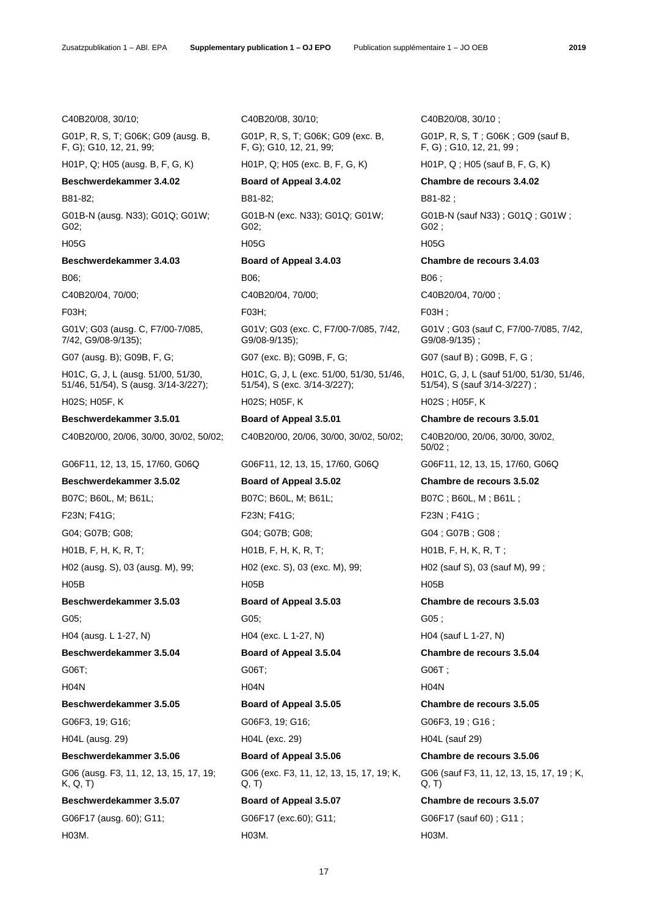G01P, R, S, T; G06K; G09 (ausg. B, F, G); G10, 12, 21, 99;

H01P, Q; H05 (ausg. B, F, G, K) H01P, Q; H05 (exc. B, F, G, K) H01P, Q ; H05 (sauf B, F, G, K)

# **Beschwerdekammer 3.4.02 Board of Appeal 3.4.02 Chambre de recours 3.4.02**

G01B-N (ausg. N33); G01Q; G01W; G02;

# **Beschwerdekammer 3.4.03 Board of Appeal 3.4.03 Chambre de recours 3.4.03**

C40B20/04, 70/00; C40B20/04, 70/00; C40B20/04, 70/00 ;

G01V; G03 (ausg. C, F7/00-7/085, 7/42, G9/08-9/135);

G07 (ausg. B); G09B, F, G; G07 (exc. B); G09B, F, G; G07 (sauf B) ; G09B, F, G;

H01C, G, J, L (ausg. 51/00, 51/30, 51/46, 51/54), S (ausg. 3/14-3/227);

B07C; B60L, M; B61L; B07C; B60L, M; B61L; B07C; B60L, M; B61L; B07C; B60L, M; B61L; F23N; F41G; F23N; F41G; F23N ; F41G ; G04; G07B; G08; G04; G07B; G08; G04 ; G07B ; G08 ; H01B, F, H, K, R, T; H, H, HO1B, F, H, K, R, T; H, K, R, T; H01B, F, H, K, R, T; H02 (ausg. S), 03 (ausg. M), 99; H02 (exc. S), 03 (exc. M), 99; H02 (sauf S), 03 (sauf M), 99 ; H05B H05B H05B **Beschwerdekammer 3.5.03 Board of Appeal 3.5.03 Chambre de recours 3.5.03** G05; G05; G05 ; H04 (ausg. L 1-27, N) H04 (exc. L 1-27, N) H04 (sauf L 1-27, N) **Beschwerdekammer 3.5.04 Board of Appeal 3.5.04 Chambre de recours 3.5.04** G06T; G06T; G06T ; H04N H04N H04N **Beschwerdekammer 3.5.05 Board of Appeal 3.5.05 Chambre de recours 3.5.05** G06F3, 19; G16; G06F3, 19; G16; G06F3, 19; G16; G06F3, 19; G16; G06F3, 19; G16; H04L (ausg. 29) H04L (exc. 29) H04L (sauf 29) **Beschwerdekammer 3.5.06 Board of Appeal 3.5.06 Chambre de recours 3.5.06** G06 (ausg. F3, 11, 12, 13, 15, 17, 19; K, Q, T) **Beschwerdekammer 3.5.07 Board of Appeal 3.5.07 Chambre de recours 3.5.07**

H03M. H03M. H03M.

C40B20/08, 30/10; C40B20/08, 30/10; C40B20/08, 30/10 ;

 G01P, R, S, T; G06K; G09 (exc. B, F, G); G10, 12, 21, 99;

B81-82; B81-82; B81-82 ;

 G01B-N (exc. N33); G01Q; G01W; G02; H05G H05G H05G

 G01V; G03 (exc. C, F7/00-7/085, 7/42, G9/08-9/135);

 H01C, G, J, L (exc. 51/00, 51/30, 51/46, 51/54), S (exc. 3/14-3/227); H02S; H05F, K H02S; H05F, K H02S ; H05F, K

**Beschwerdekammer 3.5.01 Board of Appeal 3.5.01 Chambre de recours 3.5.01** C40B20/00, 20/06, 30/00, 30/02, 50/02; C40B20/00, 20/06, 30/00, 30/02, 50/02; C40B20/00, 20/06, 30/00, 30/02,

G06F11, 12, 13, 15, 17/60, G06Q G06F11, 12, 13, 15, 17/60, G06Q G06F11, 12, 13, 15, 17/60, G06Q

**Beschwerdekammer 3.5.02 Board of Appeal 3.5.02 Chambre de recours 3.5.02** G06 (exc. F3, 11, 12, 13, 15, 17, 19; K, Q, T)

 G01P, R, S, T ; G06K ; G09 (sauf B, F, G) ; G10, 12, 21, 99 ;

 G01B-N (sauf N33) ; G01Q ; G01W ; G02 ;

B06; B06; B06 ;

F03H; F03H; F03H ;

 G01V ; G03 (sauf C, F7/00-7/085, 7/42, G9/08-9/135) ;

 H01C, G, J, L (sauf 51/00, 51/30, 51/46, 51/54), S (sauf 3/14-3/227) ;

50/02 ;

G06 (sauf F3, 11, 12, 13, 15, 17, 19 ; K,

G06F17 (ausg. 60); G11; G06F17 (exc.60); G11; G06F17 (sauf 60) ; G11 ;

Q, T)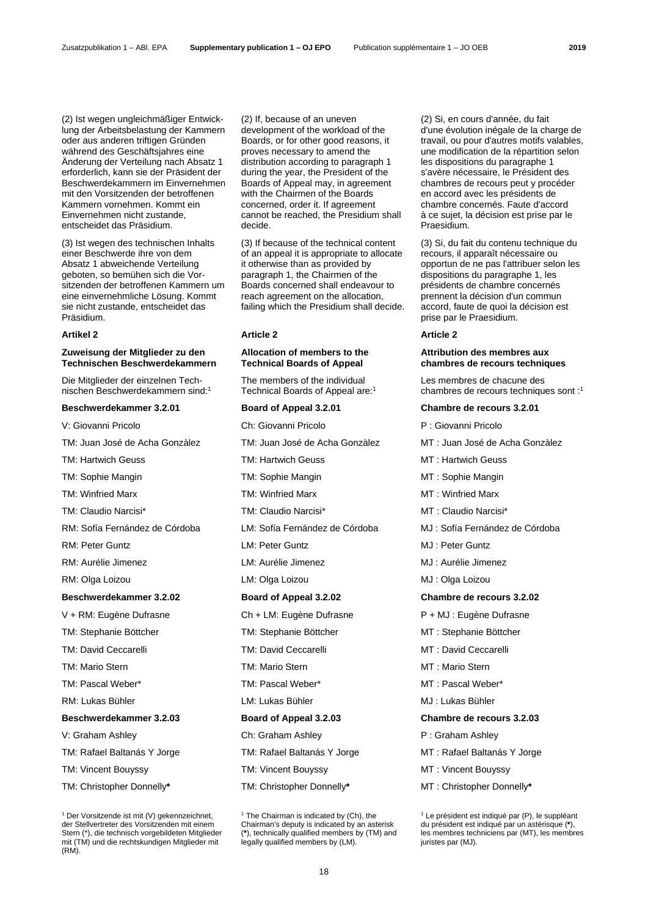(2) Ist wegen ungleichmäßiger Entwicklung der Arbeitsbelastung der Kammern oder aus anderen triftigen Gründen während des Geschäftsjahres eine Änderung der Verteilung nach Absatz 1 erforderlich, kann sie der Präsident der Beschwerdekammern im Einvernehmen mit den Vorsitzenden der betroffenen Kammern vornehmen. Kommt ein Einvernehmen nicht zustande, entscheidet das Präsidium.

(3) Ist wegen des technischen Inhalts einer Beschwerde ihre von dem Absatz 1 abweichende Verteilung geboten, so bemühen sich die Vorsitzenden der betroffenen Kammern um eine einvernehmliche Lösung. Kommt sie nicht zustande, entscheidet das Präsidium.

# **Zuweisung der Mitglieder zu den Technischen Beschwerdekammern**

Die Mitglieder der einzelnen Technischen Beschwerdekammern sind:1

## **Beschwerdekammer 3.2.01 Board of Appeal 3.2.01 Chambre de recours 3.2.01**

V: Giovanni Pricolo Ch: Giovanni Pricolo P : Giovanni Pricolo

TM: Juan José de Acha Gonzàlez TM: Juan José de Acha Gonzàlez MT : Juan José de Acha Gonzàlez

## **Beschwerdekammer 3.2.02 Board of Appeal 3.2.02 Chambre de recours 3.2.02**

TM: Stephanie Böttcher TM: Stephanie Böttcher MT : Stephanie Böttcher

# **Beschwerdekammer 3.2.03 Board of Appeal 3.2.03 Chambre de recours 3.2.03**

TM: Vincent Bouyssy TM: Vincent Bouyssy MT : Vincent Bouyssy

TM: Christopher Donnelly**\*** TM: Christopher Donnelly**\*** MT : Christopher Donnelly**\***

 (2) If, because of an uneven development of the workload of the Boards, or for other good reasons, it proves necessary to amend the distribution according to paragraph 1 during the year, the President of the Boards of Appeal may, in agreement with the Chairmen of the Boards concerned, order it. If agreement cannot be reached, the Presidium shall decide.

 (3) If because of the technical content of an appeal it is appropriate to allocate it otherwise than as provided by paragraph 1, the Chairmen of the Boards concerned shall endeavour to reach agreement on the allocation, failing which the Presidium shall decide.

### **Artikel 2 Article 2 Article 2**

## **Allocation of members to the Technical Boards of Appeal**

 The members of the individual Technical Boards of Appeal are:1

- 
- 
- 
- 
- 
- 
- 
- 
- RM: Olga Loizou LM: Olga Loizou MJ : Olga Loizou

- V + RM: Eugène Dufrasne Ch + LM: Eugène Dufrasne P + MJ : Eugène Dufrasne
	-
- TM: David Ceccarelli TM: David Ceccarelli MT : David Ceccarelli
- TM: Mario Stern TM: Mario Stern MT : Mario Stern
	-
	-

V: Graham Ashley **Ch: Graham Ashley P** : Graham Ashley **P** : Graham Ashley

- 
- 
- 

 (2) Si, en cours d'année, du fait d'une évolution inégale de la charge de travail, ou pour d'autres motifs valables, une modification de la répartition selon les dispositions du paragraphe 1 s'avère nécessaire, le Président des chambres de recours peut y procéder en accord avec les présidents de chambre concernés. Faute d'accord à ce sujet, la décision est prise par le Praesidium.

 (3) Si, du fait du contenu technique du recours, il apparaît nécessaire ou opportun de ne pas l'attribuer selon les dispositions du paragraphe 1, les présidents de chambre concernés prennent la décision d'un commun accord, faute de quoi la décision est prise par le Praesidium.

## **Attribution des membres aux chambres de recours techniques**

 Les membres de chacune des chambres de recours techniques sont :1

- 
- 
- TM: Hartwich Geuss TM: Hartwich Geuss TM: Hartwich Geuss MT : Hartwich Geuss
- TM: Sophie Mangin TM: Sophie Mangin MT : Sophie Mangin
- TM: Winfried Marx TM: Winfried Marx MT : Winfried Marx
- TM: Claudio Narcisi\* TM: Claudio Narcisi\* MT : Claudio Narcisi\*
- RM: Sofía Fernández de Córdoba LM: Sofía Fernández de Córdoba MJ : Sofía Fernández de Córdoba
- RM: Peter Guntz **LM: Peter Guntz LM: Peter Guntz CMJ** : Peter Guntz
- RM: Aurélie Jimenez LM: Aurélie Jimenez MJ : Aurélie Jimenez
	-

- 
- 
- 
- 
- TM: Pascal Weber\* TM: Pascal Weber\* MT : Pascal Weber\*
- RM: Lukas Bühler **LM: Lukas Bühler MJ : Lukas Bühler** MJ : Lukas Bühler

- 
- TM: Rafael Baltanás Y Jorge TM: Rafael Baltanás Y Jorge MT : Rafael Baltanás Y Jorge
	-
	-

<sup>1</sup> Der Vorsitzende ist mit (V) gekennzeichnet, der Stellvertreter des Vorsitzenden mit einem Stern (\*), die technisch vorgebildeten Mitglieder mit (TM) und die rechtskundigen Mitglieder mit (RM).

<sup>&</sup>lt;sup>1</sup> The Chairman is indicated by (Ch), the Chairman's deputy is indicated by an asterisk (**\***), technically qualified members by (TM) and legally qualified members by (LM).

<sup>&</sup>lt;sup>1</sup> Le président est indiqué par (P), le suppléant du président est indiqué par un astérisque (**\***), les membres techniciens par (MT), les membres juristes par (MJ).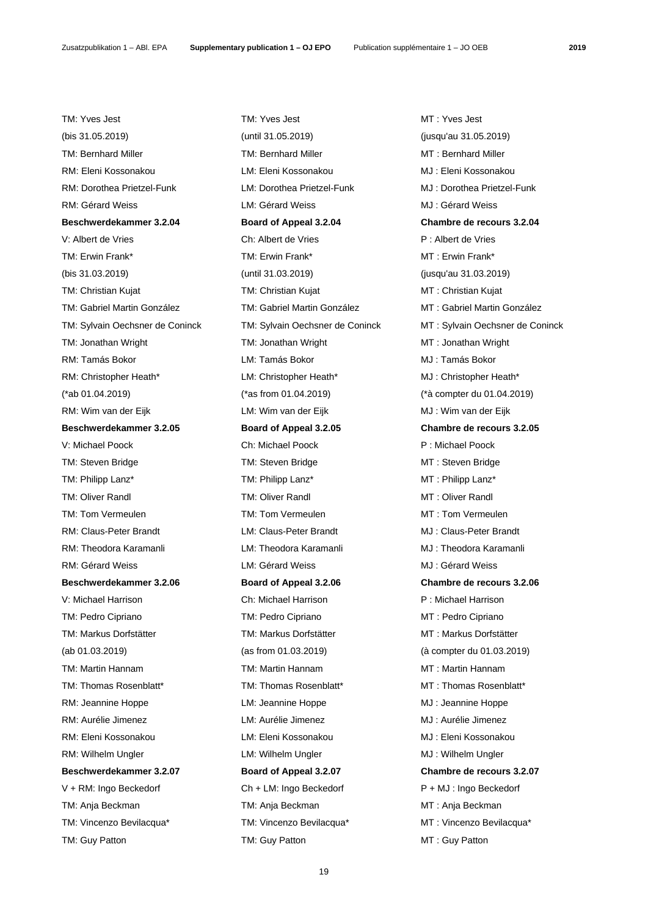(bis 31.05.2019) (until 31.05.2019) (jusqu'au 31.05.2019) TM: Bernhard Miller TM: Bernhard Miller MT : Bernhard Miller MT : Bernhard Miller RM: Eleni Kossonakou LM: Eleni Kossonakou MJ : Eleni Kossonakou RM: Dorothea Prietzel-Funk LM: Dorothea Prietzel-Funk MJ : Dorothea Prietzel-Funk RM: Gérard Weiss LM: Gérard Weiss MJ : Gérard Weiss **Beschwerdekammer 3.2.04 Board of Appeal 3.2.04 Chambre de recours 3.2.04** V: Albert de Vries Ch: Albert de Vries P : Albert de Vries TM: Erwin Frank\* TM: Erwin Frank\* MT : Erwin Frank\* (bis 31.03.2019) (until 31.03.2019) (jusqu'au 31.03.2019) TM: Christian Kujat **TM: Christian Kujat MT : Christian Kujat** MT : Christian Kujat TM: Gabriel Martin González TM: Gabriel Martin González MT : Gabriel Martin González TM: Jonathan Wright TM: Jonathan Wright MT : Jonathan Wright RM: Tamás Bokor LM: Tamás Bokor MJ : Tamás Bokor RM: Christopher Heath\* LM: Christopher Heath\* MJ : Christopher Heath\* (\*ab 01.04.2019) (\*as from 01.04.2019) (\*à compter du 01.04.2019) RM: Wim van der Eijk LM: Wim van der Eijk MJ : Wim van der Eijk **Beschwerdekammer 3.2.05 Board of Appeal 3.2.05 Chambre de recours 3.2.05** V: Michael Poock Ch: Michael Poock P : Michael Poock TM: Steven Bridge TM: Steven Bridge MT : Steven Bridge TM: Philipp Lanz\* TM: Philipp Lanz\* MT : Philipp Lanz\* TM: Oliver Randl TM: Oliver Randl MT : Oliver Randl TM: Tom Vermeulen TM: Tom Vermeulen MT : Tom Vermeulen RM: Claus-Peter Brandt LM: Claus-Peter Brandt MJ : Claus-Peter Brandt RM: Theodora Karamanli LM: Theodora Karamanli MJ : Theodora Karamanli RM: Gérard Weiss LM: Gérard Weiss MJ : Gérard Weiss **Beschwerdekammer 3.2.06 Board of Appeal 3.2.06 Chambre de recours 3.2.06** V: Michael Harrison Ch: Michael Harrison P : Michael Harrison TM: Pedro Cipriano TM: Pedro Cipriano MT : Pedro Cipriano TM: Markus Dorfstätter TM: Markus Dorfstätter MT : Markus Dorfstätter MT : Markus Dorfstätter (ab 01.03.2019) (as from 01.03.2019) (à compter du 01.03.2019) TM: Martin Hannam TM: Martin Hannam TM: Martin Hannam MT : Martin Hannam TM: Thomas Rosenblatt\* TM: Thomas Rosenblatt\* MT : Thomas Rosenblatt\* RM: Jeannine Hoppe **LM: Jeannine Hoppe MJ** : Jeannine Hoppe RM: Aurélie Jimenez LM: Aurélie Jimenez MJ : Aurélie Jimenez RM: Eleni Kossonakou LM: Eleni Kossonakou MJ : Eleni Kossonakou RM: Wilhelm Ungler **LM: Wilhelm Ungler** LM: Wilhelm Ungler MJ : Wilhelm Ungler **Beschwerdekammer 3.2.07 Board of Appeal 3.2.07 Chambre de recours 3.2.07** V + RM: Ingo Beckedorf Ch + LM: Ingo Beckedorf P + MJ : Ingo Beckedorf TM: Anja Beckman TM: Anja Beckman MT : Anja Beckman

TM: Yves Jest TM: Yves Jest MT : Yves Jest TM: Vincenzo Bevilacqua\* TM: Vincenzo Bevilacqua\* MT : Vincenzo Bevilacqua\* TM: Guy Patton TM: Guy Patton TM: Guy Patton MT : Guy Patton

TM: Sylvain Oechsner de Coninck TM: Sylvain Oechsner de Coninck MT : Sylvain Oechsner de Coninck

19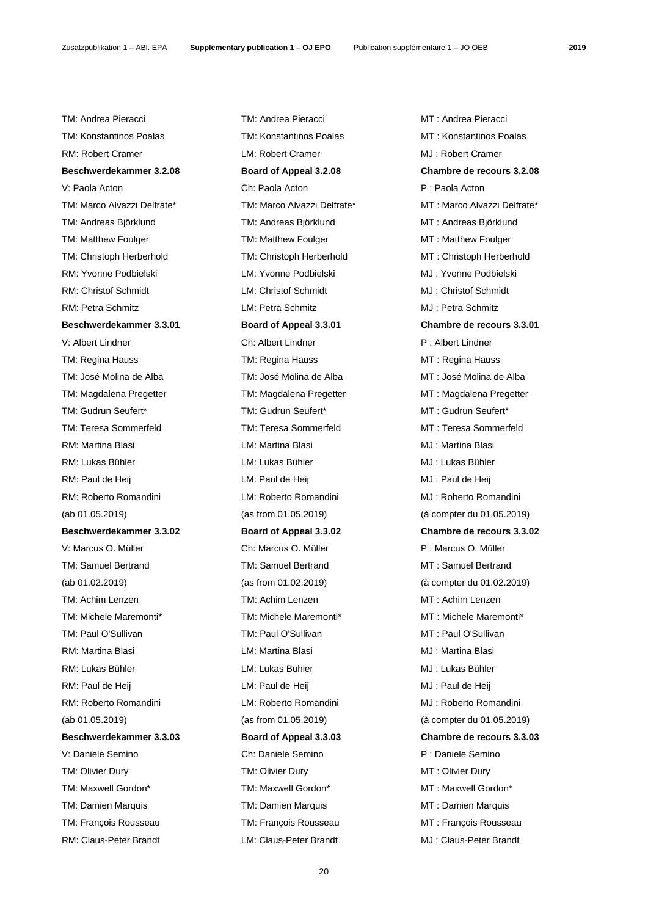TM: Andrea Pieracci TM: Andrea Pieracci MT : Andrea Pieracci TM: Konstantinos Poalas TM: Konstantinos Poalas MT : Konstantinos Poalas RM: Robert Cramer LM: Robert Cramer MJ : Robert Cramer **Beschwerdekammer 3.2.08 Board of Appeal 3.2.08 Chambre de recours 3.2.08** V: Paola Acton Ch: Paola Acton P : Paola Acton TM: Marco Alvazzi Delfrate\* TM: Marco Alvazzi Delfrate\* MT : Marco Alvazzi Delfrate\* TM: Andreas Björklund TM: Andreas Björklund MT : Andreas Björklund TM: Matthew Foulger TM: Matthew Foulger TM: Matthew Foulger MT: Matthew Foulger TM: Christoph Herberhold TM: Christoph Herberhold MT : Christoph Herberhold RM: Yvonne Podbielski MJ: Yvonne Podbielski MJ: Yvonne Podbielski RM: Christof Schmidt **LM: Christof Schmidt** MJ : Christof Schmidt RM: Petra Schmitz LM: Petra Schmitz MJ : Petra Schmitz **Beschwerdekammer 3.3.01 Board of Appeal 3.3.01 Chambre de recours 3.3.01** V: Albert Lindner Ch: Albert Lindner P : Albert Lindner TM: Regina Hauss TM: Regina Hauss MT : Regina Hauss TM: José Molina de Alba **TM: José Molina de Alba** MT : José Molina de Alba TM: Magdalena Pregetter TM: Magdalena Pregetter MT : Magdalena Pregetter TM: Gudrun Seufert\* TM: Gudrun Seufert\* MT : Gudrun Seufert\* TM: Teresa Sommerfeld TM: Teresa Sommerfeld MT : Teresa Sommerfeld RM: Martina Blasi **RM: Martina Blasi** LM: Martina Blasi **MJ** : Martina Blasi RM: Lukas Bühler LM: Lukas Bühler MJ : Lukas Bühler RM: Paul de Heij **RM: Paul de Heij LM: Paul de Heij** MJ : Paul de Heij RM: Roberto Romandini **LM: Roberto Romandini** MJ : Roberto Romandini (ab 01.05.2019) (as from 01.05.2019) (à compter du 01.05.2019) **Beschwerdekammer 3.3.02 Board of Appeal 3.3.02 Chambre de recours 3.3.02** V: Marcus O. Müller Ch: Marcus O. Müller P : Marcus O. Müller TM: Samuel Bertrand TM: Samuel Bertrand MT : Samuel Bertrand (ab 01.02.2019) (as from 01.02.2019) (à compter du 01.02.2019) TM: Achim Lenzen TM: Achim Lenzen MT : Achim Lenzen TM: Michele Maremonti\* TM: Michele Maremonti\* MT : Michele Maremonti\* TM: Paul O'Sullivan TM: Paul O'Sullivan TM: Paul O'Sullivan MT : Paul O'Sullivan RM: Martina Blasi LM: Martina Blasi MJ : Martina Blasi RM: Lukas Bühler LM: Lukas Bühler LM: Lukas Bühler MJ : Lukas Bühler RM: Paul de Heij de Heij LM: Paul de Heij de Heij MJ : Paul de Heij RM: Roberto Romandini **LM: Roberto Romandini** MJ : Roberto Romandini (ab 01.05.2019) (as from 01.05.2019) (à compter du 01.05.2019) **Beschwerdekammer 3.3.03 Board of Appeal 3.3.03 Chambre de recours 3.3.03** V: Daniele Semino Ch: Daniele Semino P : Daniele Semino TM: Olivier Dury TM: Olivier Dury TM: Olivier Dury MT : Olivier Dury TM: Maxwell Gordon\* TM: Maxwell Gordon\* MT : Maxwell Gordon\* TM: Damien Marquis TM: Damien Marquis MT : Damien Marquis TM: François Rousseau TM: François Rousseau MT : François Rousseau

RM: Claus-Peter Brandt LM: Claus-Peter Brandt MJ : Claus-Peter Brandt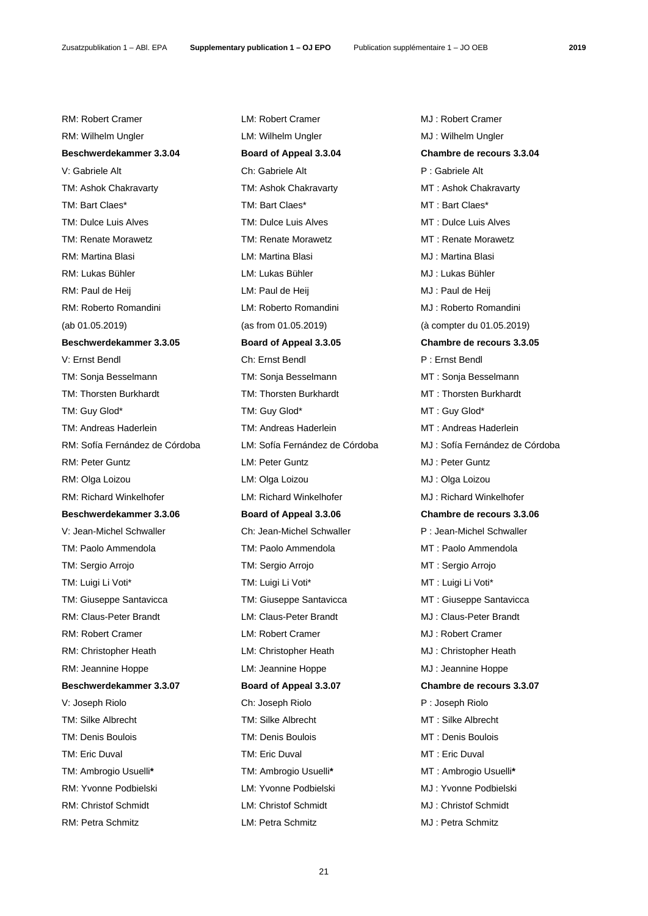RM: Robert Cramer LM: Robert Cramer MJ : Robert Cramer RM: Wilhelm Ungler LM: Wilhelm Ungler LM: Wilhelm Ungler MJ : Wilhelm Ungler **Beschwerdekammer 3.3.04 Board of Appeal 3.3.04 Chambre de recours 3.3.04** V: Gabriele Alt **P** : Gabriele Alt P : Gabriele Alt TM: Ashok Chakravarty TM: Ashok Chakravarty MT : Ashok Chakravarty TM: Bart Claes\* TM: Bart Claes\* MT : Bart Claes\* TM: Dulce Luis Alves TM: Dulce Luis Alves TM: Dulce Luis Alves MT : Dulce Luis Alves TM: Renate Morawetz TM: Renate Morawetz MT : Renate Morawetz RM: Martina Blasi LM: Martina Blasi MJ : Martina Blasi RM: Lukas Bühler **LM: Lukas Bühler LM: Lukas Bühler** MJ : Lukas Bühler RM: Paul de Heij **RM: Paul de Heij March de Heij Raul de Hei**j MJ : Paul de Heij RM: Roberto Romandini **LM: Roberto Romandini** MJ : Roberto Romandini (ab 01.05.2019) (as from 01.05.2019) (à compter du 01.05.2019) **Beschwerdekammer 3.3.05 Board of Appeal 3.3.05 Chambre de recours 3.3.05** V: Ernst Bendl Ch: Ernst Bendl P : Ernst Bendl TM: Sonja Besselmann TM: Sonja Besselmann MT : Sonja Besselmann TM: Thorsten Burkhardt TM: Thorsten Burkhardt MT : Thorsten Burkhardt TM: Guy Glod\* TM: Guy Glod\* TM: Guy Glod\* MT : Guy Glod\* TM: Andreas Haderlein TM: Andreas Haderlein MT : Andreas Haderlein RM: Peter Guntz LM: Peter Guntz MJ : Peter Guntz RM: Olga Loizou LM: Olga Loizou MJ : Olga Loizou RM: Richard Winkelhofer **LM: Richard Winkelhofer** MJ: Richard Winkelhofer **Beschwerdekammer 3.3.06 Board of Appeal 3.3.06 Chambre de recours 3.3.06** V: Jean-Michel Schwaller Ch: Jean-Michel Schwaller P : Jean-Michel Schwaller TM: Paolo Ammendola TM: Paolo Ammendola MT : Paolo Ammendola TM: Sergio Arrojo TM: Sergio Arrojo MT : Sergio Arrojo TM: Luigi Li Voti\* TM: Luigi Li Voti\* MT : Luigi Li Voti\* TM: Giuseppe Santavicca TM: Giuseppe Santavicca MT : Giuseppe Santavicca RM: Claus-Peter Brandt LM: Claus-Peter Brandt MJ : Claus-Peter Brandt RM: Robert Cramer **LM: Robert Cramer** Cramer **MJ: Robert Cramer** MJ: Robert Cramer RM: Christopher Heath LM: Christopher Heath MJ: Christopher Heath RM: Jeannine Hoppe **LM:** Jeannine Hoppe **MJ** : Jeannine Hoppe **Beschwerdekammer 3.3.07 Board of Appeal 3.3.07 Chambre de recours 3.3.07** V: Joseph Riolo Ch: Joseph Riolo P : Joseph Riolo TM: Silke Albrecht TM: Silke Albrecht MT : Silke Albrecht TM: Denis Boulois TM: Denis Boulois MT : Denis Boulois TM: Eric Duval TM: Eric Duval MT : Eric Duval TM: Ambrogio Usuelli**\*** TM: Ambrogio Usuelli**\*** MT : Ambrogio Usuelli**\*** RM: Yvonne Podbielski LM: Yvonne Podbielski MJ : Yvonne Podbielski RM: Christof Schmidt LM: Christof Schmidt MJ : Christof Schmidt

RM: Petra Schmitz LM: Petra Schmitz MJ : Petra Schmitz

RM: Sofía Fernández de Córdoba LM: Sofía Fernández de Córdoba MJ : Sofía Fernández de Córdoba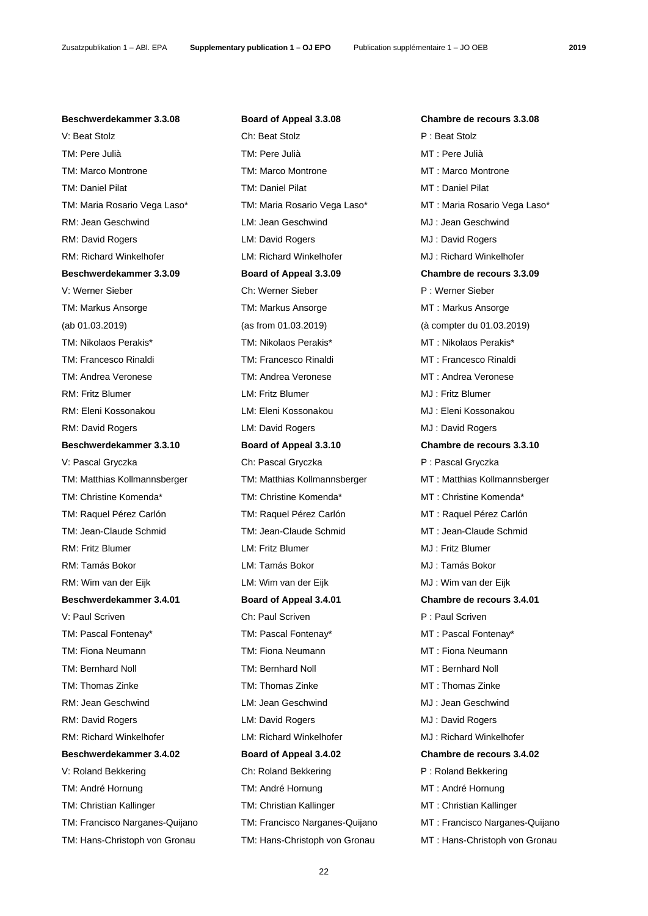**Beschwerdekammer 3.3.08 Board of Appeal 3.3.08 Chambre de recours 3.3.08** V: Beat Stolz **P** : Beat Stolz **Ch: Beat Stolz** P : Beat Stolz TM: Pere Julià TM: Pere Julià MT : Pere Julià TM: Marco Montrone TM: Marco Montrone MT : Marco Montrone TM: Daniel Pilat TM: Daniel Pilat MT : Daniel Pilat TM: Maria Rosario Vega Laso\* TM: Maria Rosario Vega Laso\* MT : Maria Rosario Vega Laso\* RM: Jean Geschwind LM: Jean Geschwind MJ : Jean Geschwind RM: David Rogers LM: David Rogers MJ : David Rogers RM: Richard Winkelhofer **LM: Richard Winkelhofer** MJ: Richard Winkelhofer **Beschwerdekammer 3.3.09 Board of Appeal 3.3.09 Chambre de recours 3.3.09** V: Werner Sieber Ch: Werner Sieber P : Werner Sieber TM: Markus Ansorge TM: Markus Ansorge TM: Markus Ansorge MT : Markus Ansorge (ab 01.03.2019) (as from 01.03.2019) (à compter du 01.03.2019) TM: Nikolaos Perakis\* TM: Nikolaos Perakis\* MT : Nikolaos Perakis\* TM: Francesco Rinaldi TM: Francesco Rinaldi MT : Francesco Rinaldi TM: Andrea Veronese TM: Andrea Veronese MT : Andrea Veronese RM: Fritz Blumer LM: Fritz Blumer MJ : Fritz Blumer RM: Eleni Kossonakou LM: Eleni Kossonakou MJ : Eleni Kossonakou RM: David Rogers LM: David Rogers MJ : David Rogers **Beschwerdekammer 3.3.10 Board of Appeal 3.3.10 Chambre de recours 3.3.10** V: Pascal Gryczka Ch: Pascal Gryczka P : Pascal Gryczka P : Pascal Gryczka TM: Matthias Kollmannsberger TM: Matthias Kollmannsberger MT : Matthias Kollmannsberger TM: Christine Komenda\* TM: Christine Komenda\* MT : Christine Komenda\* TM: Raquel Pérez Carlón TM: Raquel Pérez Carlón MT : Raquel Pérez Carlón TM: Jean-Claude Schmid TM: Jean-Claude Schmid MT : Jean-Claude Schmid RM: Fritz Blumer LM: Fritz Blumer MJ : Fritz Blumer RM: Tamás Bokor LM: Tamás Bokor MJ : Tamás Bokor RM: Wim van der Eijk LM: Wim van der Eijk MJ : Wim van der Eijk **Beschwerdekammer 3.4.01 Board of Appeal 3.4.01 Chambre de recours 3.4.01** V: Paul Scriven **Ch: Paul Scriven Ch: Paul Scriven** P : Paul Scriven TM: Pascal Fontenay\* TM: Pascal Fontenay\* MT : Pascal Fontenay\* TM: Fiona Neumann TM: Fiona Neumann MT : Fiona Neumann TM: Bernhard Noll TM: Bernhard Noll MT : Bernhard Noll TM: Thomas Zinke TM: Thomas Zinke MT : Thomas Zinke RM: Jean Geschwind **LM: Jean Geschwind LM: Jean Geschwind MJ** : Jean Geschwind RM: David Rogers LM: David Rogers MJ : David Rogers RM: Richard Winkelhofer LM: Richard Winkelhofer MJ : Richard Winkelhofer **Beschwerdekammer 3.4.02 Board of Appeal 3.4.02 Chambre de recours 3.4.02** V: Roland Bekkering **Ch: Roland Bekkering P** : Roland Bekkering TM: André Hornung TM: André Hornung TM: André Hornung MT : André Hornung TM: Christian Kallinger TM: Christian Kallinger MT : Christian Kallinger

TM: Francisco Narganes-Quijano TM: Francisco Narganes-Quijano MT : Francisco Narganes-Quijano TM: Hans-Christoph von Gronau TM: Hans-Christoph von Gronau MT : Hans-Christoph von Gronau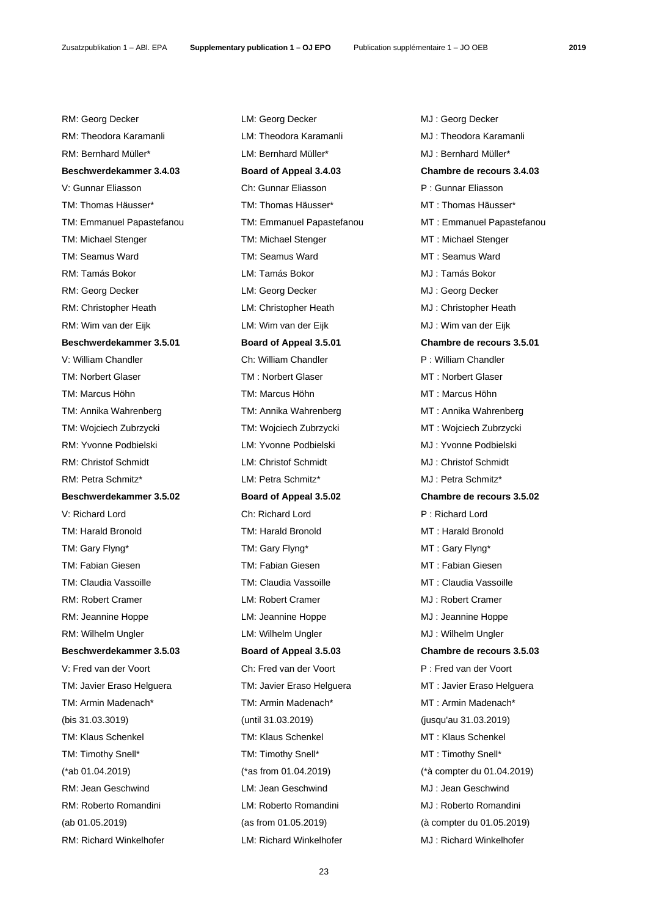RM: Georg Decker **LM: Georg Decker CMI : Georg Decker** MJ : Georg Decker RM: Theodora Karamanli LM: Theodora Karamanli MJ : Theodora Karamanli RM: Bernhard Müller\* LM: Bernhard Müller\* MJ : Bernhard Müller\* **Beschwerdekammer 3.4.03 Board of Appeal 3.4.03 Chambre de recours 3.4.03** V: Gunnar Eliasson Ch: Gunnar Eliasson P : Gunnar Eliasson TM: Thomas Häusser\* TM: Thomas Häusser\* MT : Thomas Häusser\* TM: Michael Stenger TM: Michael Stenger TM: Michael Stenger MT: Michael Stenger TM: Seamus Ward TM: Seamus Ward TM: Seamus Ward MT: Seamus Ward RM: Tamás Bokor LM: Tamás Bokor MJ : Tamás Bokor RM: Georg Decker **LM: Georg Decker CM: Georg Decker CMI** : Georg Decker RM: Christopher Heath LM: Christopher Heath MJ : Christopher Heath RM: Wim van der Eijk LM: Wim van der Eijk MJ : Wim van der Eijk **Beschwerdekammer 3.5.01 Board of Appeal 3.5.01 Chambre de recours 3.5.01** V: William Chandler **Chinam Chandler Chinam Chandler** Ch: William Chandler **P** : William Chandler TM: Norbert Glaser TM: Norbert Glaser TM: Norbert Glaser MT : Norbert Glaser TM: Marcus Höhn TM: Marcus Höhn MT : Marcus Höhn TM: Annika Wahrenberg TM: Annika Wahrenberg MT : Annika Wahrenberg TM: Wojciech Zubrzycki TM: Wojciech Zubrzycki MT : Wojciech Zubrzycki RM: Yvonne Podbielski LM: Yvonne Podbielski MJ : Yvonne Podbielski RM: Christof Schmidt LM: Christof Schmidt MJ : Christof Schmidt RM: Petra Schmitz\* LM: Petra Schmitz\* MJ : Petra Schmitz\* **Beschwerdekammer 3.5.02 Board of Appeal 3.5.02 Chambre de recours 3.5.02** V: Richard Lord Ch: Richard Lord P : Richard Lord TM: Harald Bronold TM: Harald Bronold MT : Harald Bronold TM: Gary Flyng\* TM: Gary Flyng\* TM: Gary Flyng\* MT : Gary Flyng\* TM: Fabian Giesen TM: Fabian Giesen MT : Fabian Giesen TM: Claudia Vassoille TM: Claudia Vassoille MT : Claudia Vassoille RM: Robert Cramer LM: Robert Cramer MJ : Robert Cramer RM: Jeannine Hoppe **LM: Jeannine Hoppe MJ : Jeannine Hoppe** RM: Wilhelm Ungler **LM: Wilhelm Ungler** LM: Wilhelm Ungler **MJ** : Wilhelm Ungler **Beschwerdekammer 3.5.03 Board of Appeal 3.5.03 Chambre de recours 3.5.03** V: Fred van der Voort Ch: Fred van der Voort P : Fred van der Voort TM: Javier Eraso Helguera TM: Javier Eraso Helguera MT : Javier Eraso Helguera TM: Armin Madenach\* TM: Armin Madenach\* MT : Armin Madenach\* (bis 31.03.3019) (until 31.03.2019) (jusqu'au 31.03.2019) TM: Klaus Schenkel TM: Klaus Schenkel MT : Klaus Schenkel TM: Timothy Snell\* TM: Timothy Snell\* MT : Timothy Snell\* (\*ab 01.04.2019) (\*as from 01.04.2019) (\*à compter du 01.04.2019) RM: Jean Geschwind LM: Jean Geschwind MJ : Jean Geschwind RM: Roberto Romandini LM: Roberto Romandini MJ : Roberto Romandini (ab 01.05.2019) (as from 01.05.2019) (à compter du 01.05.2019) RM: Richard Winkelhofer **LM: Richard Winkelhofer** MJ: Richard Winkelhofer

TM: Emmanuel Papastefanou TM: Emmanuel Papastefanou MT : Emmanuel Papastefanou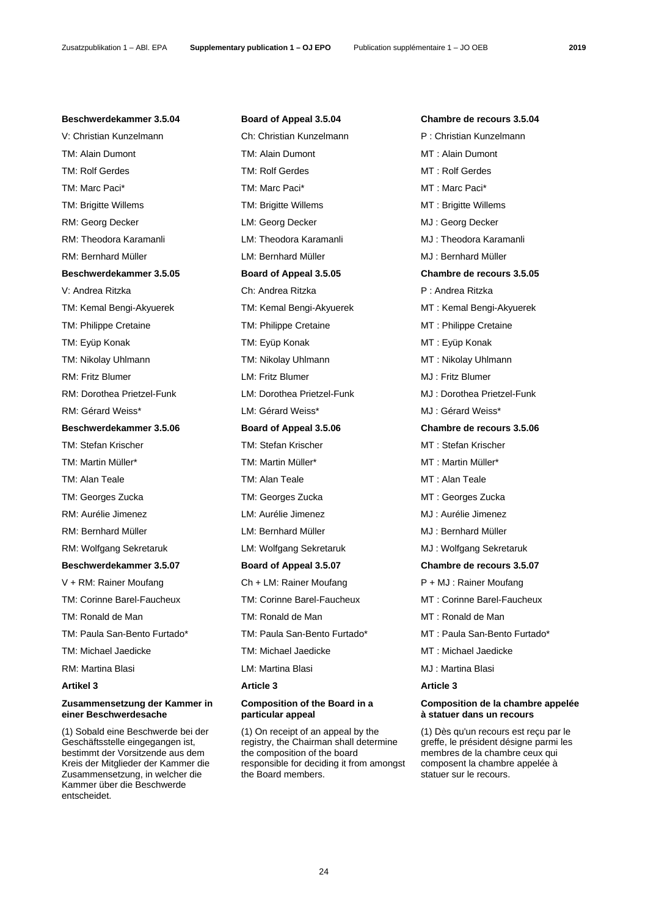V: Christian Kunzelmann **Ch: Christian Kunzelmann** P: Christian Kunzelmann TM: Alain Dumont TM: Alain Dumont MT : Alain Dumont TM: Rolf Gerdes TM: Rolf Gerdes TM: Rolf Gerdes MT : Rolf Gerdes TM: Marc Paci\* TM: Marc Paci\* MT : Marc Paci\* TM: Brigitte Willems TM: Brigitte Willems MT : Brigitte Willems RM: Georg Decker **LM: Georg Decker COMIC Decker** MJ : Georg Decker RM: Theodora Karamanli LM: Theodora Karamanli MJ : Theodora Karamanli RM: Bernhard Müller LM: Bernhard Müller MJ : Bernhard Müller **Beschwerdekammer 3.5.05 Board of Appeal 3.5.05 Chambre de recours 3.5.05** V: Andrea Ritzka Ch: Andrea Ritzka P : Andrea Ritzka TM: Kemal Bengi-Akyuerek TM: Kemal Bengi-Akyuerek MT : Kemal Bengi-Akyuerek TM: Philippe Cretaine TM: Philippe Cretaine MT : Philippe Cretaine TM: Eyüp Konak TM: Eyüp Konak MT : Eyüp Konak TM: Nikolay Uhlmann TM: Nikolay Uhlmann MT : Nikolay Uhlmann RM: Fritz Blumer LM: Fritz Blumer MJ : Fritz Blumer RM: Dorothea Prietzel-Funk LM: Dorothea Prietzel-Funk MJ : Dorothea Prietzel-Funk RM: Gérard Weiss\* LM: Gérard Weiss\* MJ : Gérard Weiss\* **Beschwerdekammer 3.5.06 Board of Appeal 3.5.06 Chambre de recours 3.5.06** TM: Stefan Krischer TM: Stefan Krischer MT : Stefan Krischer TM: Martin Müller\* TM: Martin Müller\* MT : Martin Müller\* TM: Alan Teale TM: Alan Teale MT : Alan Teale TM: Georges Zucka TM: Georges Zucka MT : Georges Zucka RM: Aurélie Jimenez LM: Aurélie Jimenez MJ : Aurélie Jimenez RM: Bernhard Müller **LM: Bernhard Müller** MJ : Bernhard Müller RM: Wolfgang Sekretaruk LM: Wolfgang Sekretaruk MJ : Wolfgang Sekretaruk **Beschwerdekammer 3.5.07 Board of Appeal 3.5.07 Chambre de recours 3.5.07** V + RM: Rainer Moufang Ch + LM: Rainer Moufang P + MJ : Rainer Moufang TM: Corinne Barel-Faucheux TM: Corinne Barel-Faucheux MT : Corinne Barel-Faucheux TM: Ronald de Man TM: Ronald de Man TM: Ronald de Man T: Ronald de Man TM: Michael Jaedicke TM: Michael Jaedicke MT : Michael Jaedicke RM: Martina Blasi **RM: Martina Blasi** LM: Martina Blasi **MJ : Martina Blasi** MJ : Martina Blasi

# **Zusammensetzung der Kammer in einer Beschwerdesache**

(1) Sobald eine Beschwerde bei der Geschäftsstelle eingegangen ist, bestimmt der Vorsitzende aus dem Kreis der Mitglieder der Kammer die Zusammensetzung, in welcher die Kammer über die Beschwerde entscheidet.

**Beschwerdekammer 3.5.04 Board of Appeal 3.5.04 Chambre de recours 3.5.04**

Artikel 3 Article 3 **Article 3** Article 3 **Article 3** 

## **Composition of the Board in a particular appeal**

(1) On receipt of an appeal by the registry, the Chairman shall determine the composition of the board responsible for deciding it from amongst the Board members.

TM: Paula San-Bento Furtado\* TM: Paula San-Bento Furtado\* MT : Paula San-Bento Furtado\*

# **Composition de la chambre appelée à statuer dans un recours**

(1) Dès qu'un recours est reçu par le greffe, le président désigne parmi les membres de la chambre ceux qui composent la chambre appelée à statuer sur le recours.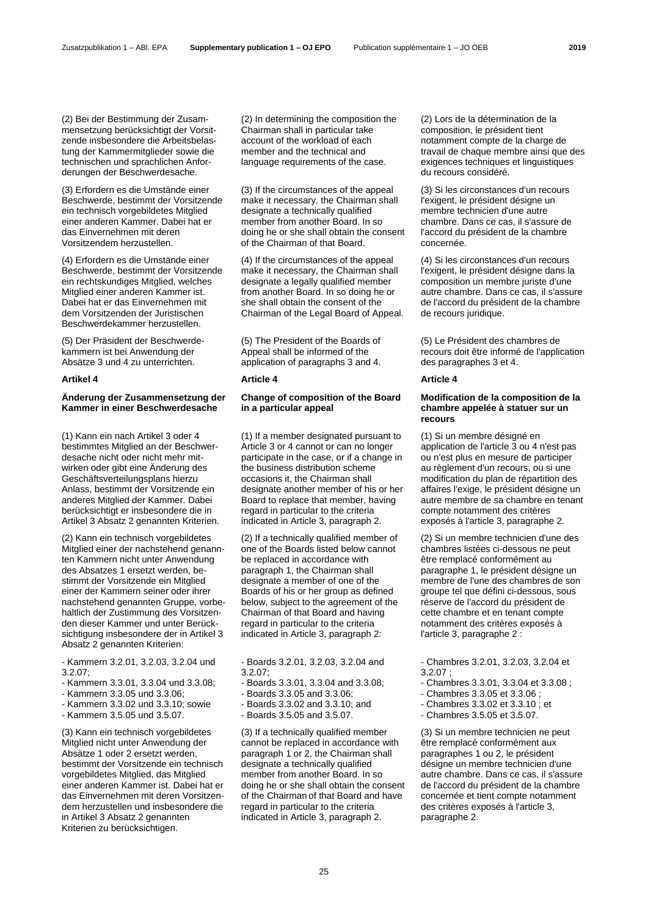(2) Bei der Bestimmung der Zusammensetzung berücksichtigt der Vorsitzende insbesondere die Arbeitsbelastung der Kammermitglieder sowie die technischen und sprachlichen Anforderungen der Beschwerdesache.

(3) Erfordern es die Umstände einer Beschwerde, bestimmt der Vorsitzende ein technisch vorgebildetes Mitglied einer anderen Kammer. Dabei hat er das Einvernehmen mit deren Vorsitzendem herzustellen.

(4) Erfordern es die Umstände einer Beschwerde, bestimmt der Vorsitzende ein rechtskundiges Mitglied, welches Mitglied einer anderen Kammer ist. Dabei hat er das Einvernehmen mit dem Vorsitzenden der Juristischen Beschwerdekammer herzustellen.

(5) Der Präsident der Beschwerdekammern ist bei Anwendung der Absätze 3 und 4 zu unterrichten.

## **Artikel 4 Article 4 Article 4**

# **Änderung der Zusammensetzung der Kammer in einer Beschwerdesache**

(1) Kann ein nach Artikel 3 oder 4 bestimmtes Mitglied an der Beschwerdesache nicht oder nicht mehr mitwirken oder gibt eine Änderung des Geschäftsverteilungsplans hierzu Anlass, bestimmt der Vorsitzende ein anderes Mitglied der Kammer. Dabei berücksichtigt er insbesondere die in Artikel 3 Absatz 2 genannten Kriterien.

(2) Kann ein technisch vorgebildetes Mitglied einer der nachstehend genannten Kammern nicht unter Anwendung des Absatzes 1 ersetzt werden, bestimmt der Vorsitzende ein Mitglied einer der Kammern seiner oder ihrer nachstehend genannten Gruppe, vorbehaltlich der Zustimmung des Vorsitzenden dieser Kammer und unter Berücksichtigung insbesondere der in Artikel 3 Absatz 2 genannten Kriterien:

- Kammern 3.2.01, 3.2.03, 3.2.04 und 3.2.07;

- Kammern 3.3.01, 3.3.04 und 3.3.08;
- Kammern 3.3.05 und 3.3.06;
- Kammern 3.3.02 und 3.3.10; sowie
- Kammern 3.5.05 und 3.5.07.

(3) Kann ein technisch vorgebildetes Mitglied nicht unter Anwendung der Absätze 1 oder 2 ersetzt werden, bestimmt der Vorsitzende ein technisch vorgebildetes Mitglied, das Mitglied einer anderen Kammer ist. Dabei hat er das Einvernehmen mit deren Vorsitzendem herzustellen und insbesondere die in Artikel 3 Absatz 2 genannten Kriterien zu berücksichtigen.

 (2) In determining the composition the Chairman shall in particular take account of the workload of each member and the technical and language requirements of the case.

 (3) If the circumstances of the appeal make it necessary, the Chairman shall designate a technically qualified member from another Board. In so doing he or she shall obtain the consent of the Chairman of that Board.

 (4) If the circumstances of the appeal make it necessary, the Chairman shall designate a legally qualified member from another Board. In so doing he or she shall obtain the consent of the Chairman of the Legal Board of Appeal.

 (5) The President of the Boards of Appeal shall be informed of the application of paragraphs 3 and 4.

# **Change of composition of the Board in a particular appeal**

 (1) If a member designated pursuant to Article 3 or 4 cannot or can no longer participate in the case, or if a change in the business distribution scheme occasions it, the Chairman shall designate another member of his or her Board to replace that member, having regard in particular to the criteria indicated in Article 3, paragraph 2.

 (2) If a technically qualified member of one of the Boards listed below cannot be replaced in accordance with paragraph 1, the Chairman shall designate a member of one of the Boards of his or her group as defined below, subject to the agreement of the Chairman of that Board and having regard in particular to the criteria indicated in Article 3, paragraph 2:

 - Boards 3.2.01, 3.2.03, 3.2.04 and 3.2.07;

- Boards 3.3.01, 3.3.04 and 3.3.08;
- Boards 3.3.05 and 3.3.06;
- Boards 3.3.02 and 3.3.10; and
- Boards 3.5.05 and 3.5.07.

 (3) If a technically qualified member cannot be replaced in accordance with paragraph 1 or 2, the Chairman shall designate a technically qualified member from another Board. In so doing he or she shall obtain the consent of the Chairman of that Board and have regard in particular to the criteria indicated in Article 3, paragraph 2.

 (2) Lors de la détermination de la composition, le président tient notamment compte de la charge de travail de chaque membre ainsi que des exigences techniques et linguistiques du recours considéré.

 (3) Si les circonstances d'un recours l'exigent, le président désigne un membre technicien d'une autre chambre. Dans ce cas, il s'assure de l'accord du président de la chambre concernée.

 (4) Si les circonstances d'un recours l'exigent, le président désigne dans la composition un membre juriste d'une autre chambre. Dans ce cas, il s'assure de l'accord du président de la chambre de recours juridique.

 (5) Le Président des chambres de recours doit être informé de l'application des paragraphes 3 et 4.

# **Modification de la composition de la chambre appelée à statuer sur un recours**

 (1) Si un membre désigné en application de l'article 3 ou 4 n'est pas ou n'est plus en mesure de participer au règlement d'un recours, ou si une modification du plan de répartition des affaires l'exige, le président désigne un autre membre de sa chambre en tenant compte notamment des critères exposés à l'article 3, paragraphe 2.

 (2) Si un membre technicien d'une des chambres listées ci-dessous ne peut être remplacé conformément au paragraphe 1, le président désigne un membre de l'une des chambres de son groupe tel que défini ci-dessous, sous réserve de l'accord du président de cette chambre et en tenant compte notamment des critères exposés à l'article 3, paragraphe 2 :

- Chambres 3.2.01, 3.2.03, 3.2.04 et 3.2.07 ;
- Chambres 3.3.01, 3.3.04 et 3.3.08 ;
- Chambres 3.3.05 et 3.3.06 ;
- Chambres 3.3.02 et 3.3.10 ; et
- Chambres 3.5.05 et 3.5.07.

 (3) Si un membre technicien ne peut être remplacé conformément aux paragraphes 1 ou 2, le président désigne un membre technicien d'une autre chambre. Dans ce cas, il s'assure de l'accord du président de la chambre concernée et tient compte notamment des critères exposés à l'article 3, paragraphe 2.